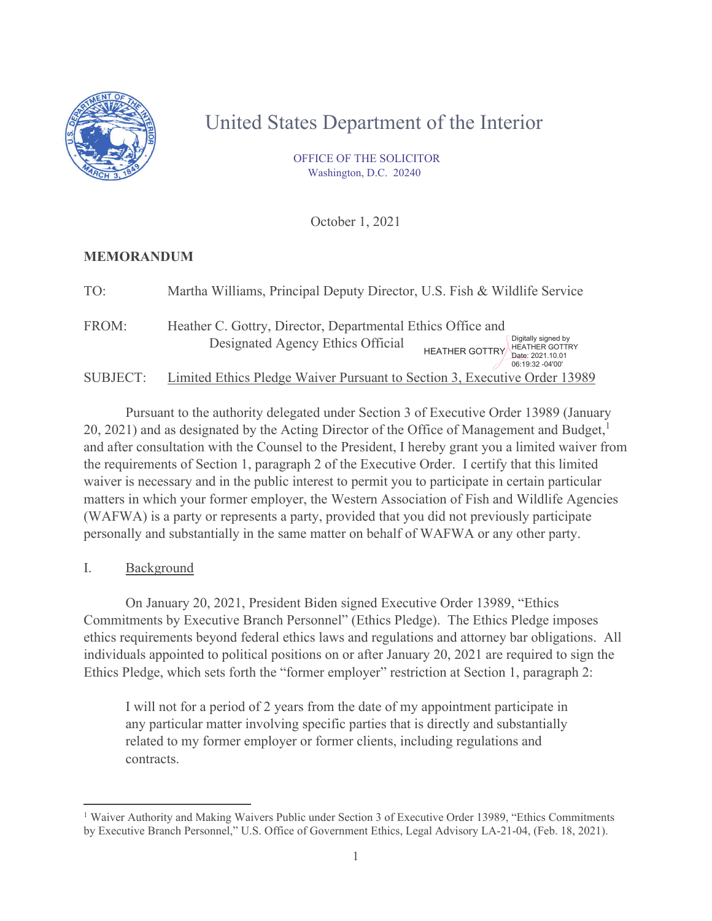

# United States Department of the Interior

 OFFICE OF THE SOLICITOR Washington, D.C. 20240

October 1, 2021

## **MEMORANDUM**

| TO:      | Martha Williams, Principal Deputy Director, U.S. Fish & Wildlife Service                                                                                                                                          |
|----------|-------------------------------------------------------------------------------------------------------------------------------------------------------------------------------------------------------------------|
| FROM:    | Heather C. Gottry, Director, Departmental Ethics Office and<br>Digitally signed by<br>Designated Agency Ethics Official<br><b>HEATHER GOTTRY</b><br><b>HEATHER GOTTRY</b><br>Date: 2021.10.01<br>06:19:32 -04'00' |
| SUBJECT: | Limited Ethics Pledge Waiver Pursuant to Section 3, Executive Order 13989                                                                                                                                         |

Pursuant to the authority delegated under Section 3 of Executive Order 13989 (January 20, 2021) and as designated by the Acting Director of the Office of Management and Budget, $<sup>1</sup>$ </sup> and after consultation with the Counsel to the President, I hereby grant you a limited waiver from the requirements of Section 1, paragraph 2 of the Executive Order. I certify that this limited waiver is necessary and in the public interest to permit you to participate in certain particular matters in which your former employer, the Western Association of Fish and Wildlife Agencies (WAFWA) is a party or represents a party, provided that you did not previously participate personally and substantially in the same matter on behalf of WAFWA or any other party.

I. Background

On January 20, 2021, President Biden signed Executive Order 13989, "Ethics Commitments by Executive Branch Personnel" (Ethics Pledge). The Ethics Pledge imposes ethics requirements beyond federal ethics laws and regulations and attorney bar obligations. All individuals appointed to political positions on or after January 20, 2021 are required to sign the Ethics Pledge, which sets forth the "former employer" restriction at Section 1, paragraph 2:

I will not for a period of 2 years from the date of my appointment participate in any particular matter involving specific parties that is directly and substantially related to my former employer or former clients, including regulations and contracts.

<sup>&</sup>lt;sup>1</sup> Waiver Authority and Making Waivers Public under Section 3 of Executive Order 13989, "Ethics Commitments by Executive Branch Personnel," U.S. Office of Government Ethics, Legal Advisory LA-21-04, (Feb. 18, 2021).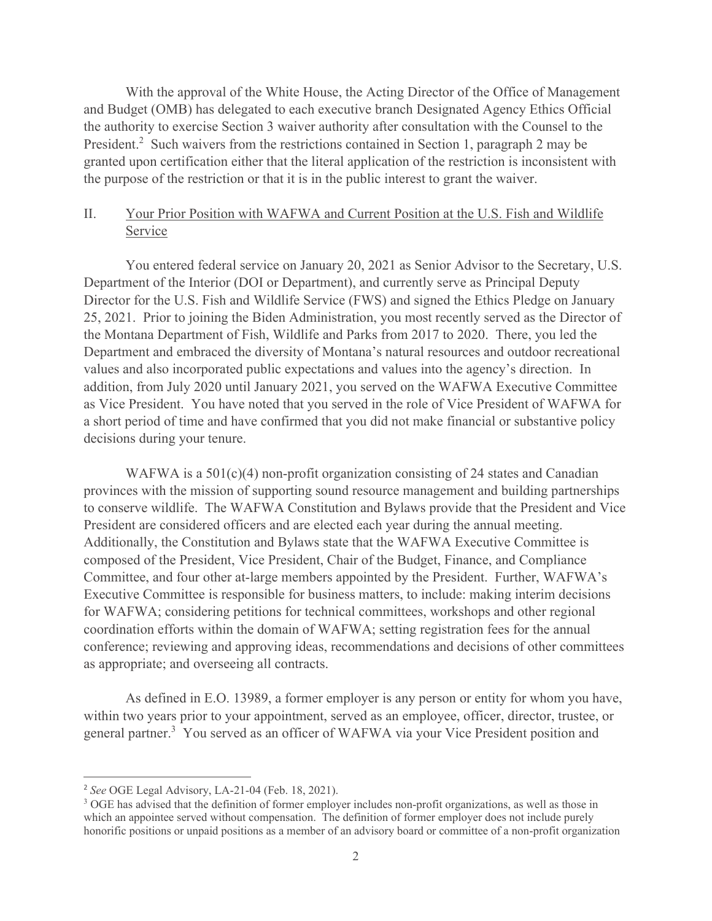With the approval of the White House, the Acting Director of the Office of Management and Budget (OMB) has delegated to each executive branch Designated Agency Ethics Official the authority to exercise Section 3 waiver authority after consultation with the Counsel to the President.<sup>2</sup> Such waivers from the restrictions contained in Section 1, paragraph 2 may be granted upon certification either that the literal application of the restriction is inconsistent with the purpose of the restriction or that it is in the public interest to grant the waiver.

# II. Your Prior Position with WAFWA and Current Position at the U.S. Fish and Wildlife Service

You entered federal service on January 20, 2021 as Senior Advisor to the Secretary, U.S. Department of the Interior (DOI or Department), and currently serve as Principal Deputy Director for the U.S. Fish and Wildlife Service (FWS) and signed the Ethics Pledge on January 25, 2021. Prior to joining the Biden Administration, you most recently served as the Director of the Montana Department of Fish, Wildlife and Parks from 2017 to 2020. There, you led the Department and embraced the diversity of Montana's natural resources and outdoor recreational values and also incorporated public expectations and values into the agency's direction. In addition, from July 2020 until January 2021, you served on the WAFWA Executive Committee as Vice President. You have noted that you served in the role of Vice President of WAFWA for a short period of time and have confirmed that you did not make financial or substantive policy decisions during your tenure.

WAFWA is a 501(c)(4) non-profit organization consisting of 24 states and Canadian provinces with the mission of supporting sound resource management and building partnerships to conserve wildlife. The WAFWA Constitution and Bylaws provide that the President and Vice President are considered officers and are elected each year during the annual meeting. Additionally, the Constitution and Bylaws state that the WAFWA Executive Committee is composed of the President, Vice President, Chair of the Budget, Finance, and Compliance Committee, and four other at-large members appointed by the President. Further, WAFWA's Executive Committee is responsible for business matters, to include: making interim decisions for WAFWA; considering petitions for technical committees, workshops and other regional coordination efforts within the domain of WAFWA; setting registration fees for the annual conference; reviewing and approving ideas, recommendations and decisions of other committees as appropriate; and overseeing all contracts.

As defined in E.O. 13989, a former employer is any person or entity for whom you have, within two years prior to your appointment, served as an employee, officer, director, trustee, or general partner.<sup>3</sup> You served as an officer of WAFWA via your Vice President position and

<sup>2</sup> *See* OGE Legal Advisory, LA-21-04 (Feb. 18, 2021).

<sup>&</sup>lt;sup>3</sup> OGE has advised that the definition of former employer includes non-profit organizations, as well as those in which an appointee served without compensation. The definition of former employer does not include purely honorific positions or unpaid positions as a member of an advisory board or committee of a non-profit organization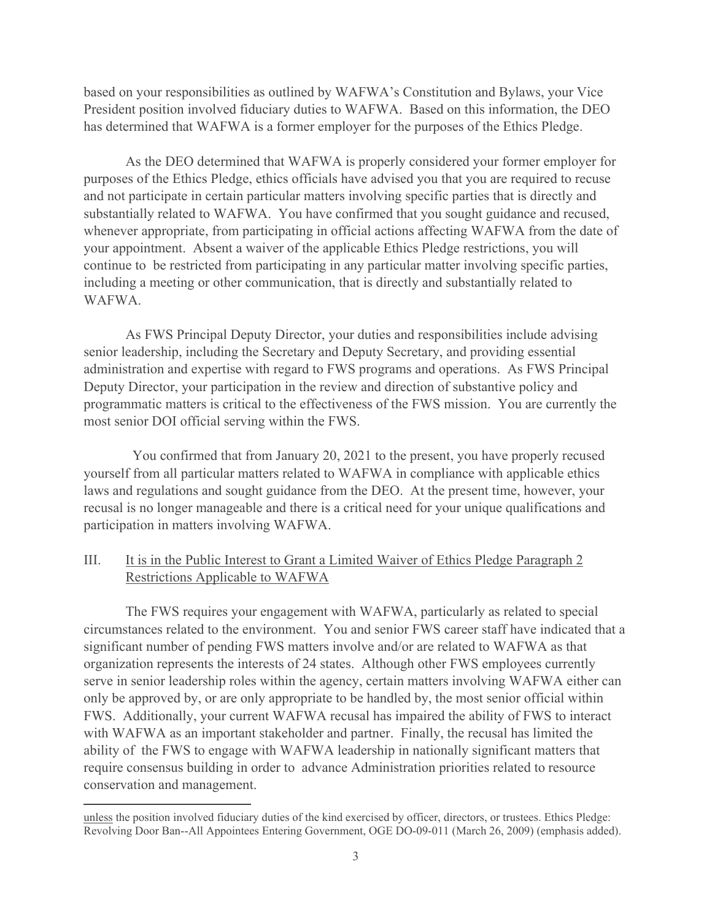based on your responsibilities as outlined by WAFWA's Constitution and Bylaws, your Vice President position involved fiduciary duties to WAFWA. Based on this information, the DEO has determined that WAFWA is a former employer for the purposes of the Ethics Pledge.

As the DEO determined that WAFWA is properly considered your former employer for purposes of the Ethics Pledge, ethics officials have advised you that you are required to recuse and not participate in certain particular matters involving specific parties that is directly and substantially related to WAFWA. You have confirmed that you sought guidance and recused, whenever appropriate, from participating in official actions affecting WAFWA from the date of your appointment. Absent a waiver of the applicable Ethics Pledge restrictions, you will continue to be restricted from participating in any particular matter involving specific parties, including a meeting or other communication, that is directly and substantially related to WAFWA.

As FWS Principal Deputy Director, your duties and responsibilities include advising senior leadership, including the Secretary and Deputy Secretary, and providing essential administration and expertise with regard to FWS programs and operations. As FWS Principal Deputy Director, your participation in the review and direction of substantive policy and programmatic matters is critical to the effectiveness of the FWS mission. You are currently the most senior DOI official serving within the FWS.

You confirmed that from January 20, 2021 to the present, you have properly recused yourself from all particular matters related to WAFWA in compliance with applicable ethics laws and regulations and sought guidance from the DEO. At the present time, however, your recusal is no longer manageable and there is a critical need for your unique qualifications and participation in matters involving WAFWA.

## III. It is in the Public Interest to Grant a Limited Waiver of Ethics Pledge Paragraph 2 Restrictions Applicable to WAFWA

The FWS requires your engagement with WAFWA, particularly as related to special circumstances related to the environment. You and senior FWS career staff have indicated that a significant number of pending FWS matters involve and/or are related to WAFWA as that organization represents the interests of 24 states. Although other FWS employees currently serve in senior leadership roles within the agency, certain matters involving WAFWA either can only be approved by, or are only appropriate to be handled by, the most senior official within FWS. Additionally, your current WAFWA recusal has impaired the ability of FWS to interact with WAFWA as an important stakeholder and partner. Finally, the recusal has limited the ability of the FWS to engage with WAFWA leadership in nationally significant matters that require consensus building in order to advance Administration priorities related to resource conservation and management.

unless the position involved fiduciary duties of the kind exercised by officer, directors, or trustees. Ethics Pledge: Revolving Door Ban--All Appointees Entering Government, OGE DO-09-011 (March 26, 2009) (emphasis added).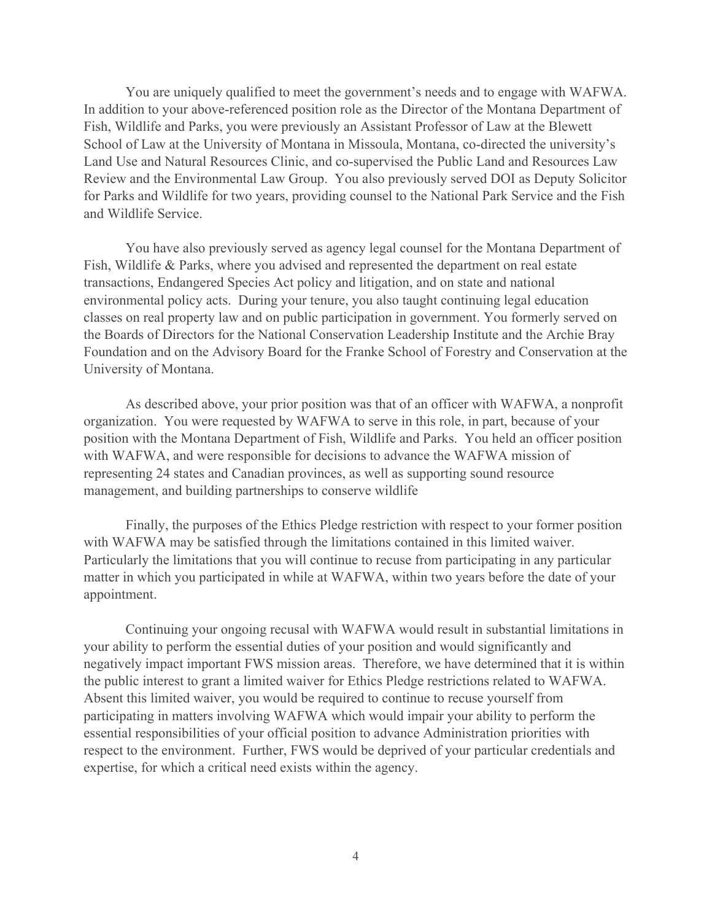You are uniquely qualified to meet the government's needs and to engage with WAFWA. In addition to your above-referenced position role as the Director of the Montana Department of Fish, Wildlife and Parks, you were previously an Assistant Professor of Law at the Blewett School of Law at the University of Montana in Missoula, Montana, co-directed the university's Land Use and Natural Resources Clinic, and co-supervised the Public Land and Resources Law Review and the Environmental Law Group. You also previously served DOI as Deputy Solicitor for Parks and Wildlife for two years, providing counsel to the National Park Service and the Fish and Wildlife Service.

You have also previously served as agency legal counsel for the Montana Department of Fish, Wildlife & Parks, where you advised and represented the department on real estate transactions, Endangered Species Act policy and litigation, and on state and national environmental policy acts. During your tenure, you also taught continuing legal education classes on real property law and on public participation in government. You formerly served on the Boards of Directors for the National Conservation Leadership Institute and the Archie Bray Foundation and on the Advisory Board for the Franke School of Forestry and Conservation at the University of Montana.

As described above, your prior position was that of an officer with WAFWA, a nonprofit organization. You were requested by WAFWA to serve in this role, in part, because of your position with the Montana Department of Fish, Wildlife and Parks. You held an officer position with WAFWA, and were responsible for decisions to advance the WAFWA mission of representing 24 states and Canadian provinces, as well as supporting sound resource management, and building partnerships to conserve wildlife

Finally, the purposes of the Ethics Pledge restriction with respect to your former position with WAFWA may be satisfied through the limitations contained in this limited waiver. Particularly the limitations that you will continue to recuse from participating in any particular matter in which you participated in while at WAFWA, within two years before the date of your appointment.

Continuing your ongoing recusal with WAFWA would result in substantial limitations in your ability to perform the essential duties of your position and would significantly and negatively impact important FWS mission areas. Therefore, we have determined that it is within the public interest to grant a limited waiver for Ethics Pledge restrictions related to WAFWA. Absent this limited waiver, you would be required to continue to recuse yourself from participating in matters involving WAFWA which would impair your ability to perform the essential responsibilities of your official position to advance Administration priorities with respect to the environment. Further, FWS would be deprived of your particular credentials and expertise, for which a critical need exists within the agency.